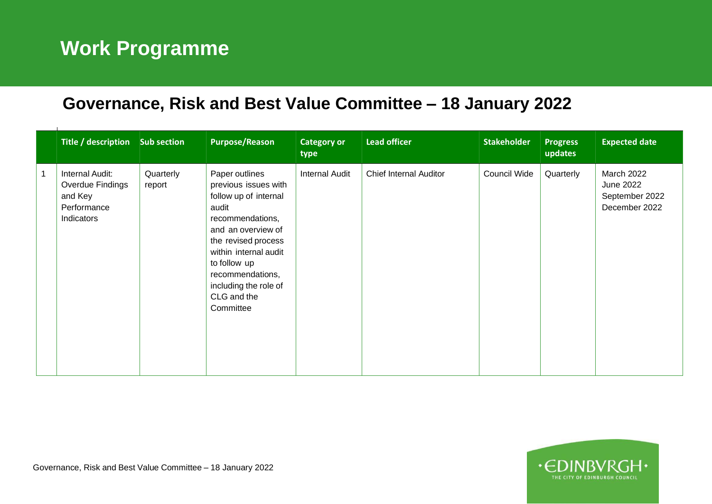## **Work Programme**

## **Governance, Risk and Best Value Committee – 18 January 2022**

| Title / description Sub section                                             |                     | <b>Purpose/Reason</b>                                                                                                                                                                                                                                       | <b>Category or</b><br>type | <b>Lead officer</b>    | <b>Stakeholder</b>  | <b>Progress</b><br>updates | <b>Expected date</b>                                              |
|-----------------------------------------------------------------------------|---------------------|-------------------------------------------------------------------------------------------------------------------------------------------------------------------------------------------------------------------------------------------------------------|----------------------------|------------------------|---------------------|----------------------------|-------------------------------------------------------------------|
| Internal Audit:<br>Overdue Findings<br>and Key<br>Performance<br>Indicators | Quarterly<br>report | Paper outlines<br>previous issues with<br>follow up of internal<br>audit<br>recommendations,<br>and an overview of<br>the revised process<br>within internal audit<br>to follow up<br>recommendations,<br>including the role of<br>CLG and the<br>Committee | <b>Internal Audit</b>      | Chief Internal Auditor | <b>Council Wide</b> | Quarterly                  | March 2022<br><b>June 2022</b><br>September 2022<br>December 2022 |

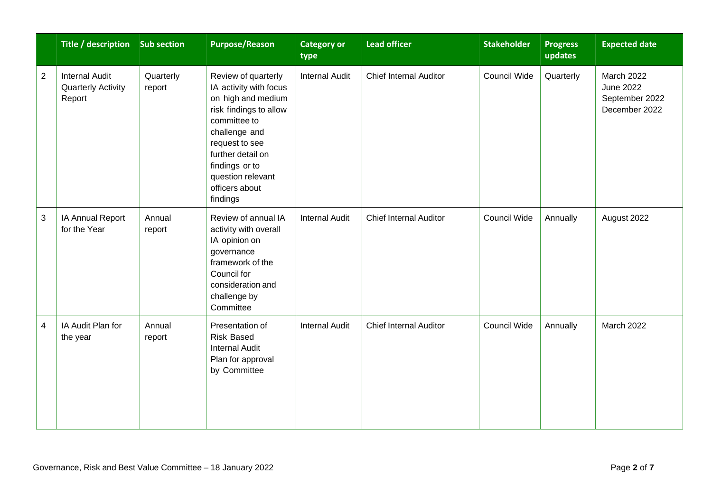|                | Title / description Sub section                              |                     | <b>Purpose/Reason</b>                                                                                                                                                                                                                      | <b>Category or</b><br>type | <b>Lead officer</b>           | <b>Stakeholder</b> | <b>Progress</b><br>updates | <b>Expected date</b>                                       |
|----------------|--------------------------------------------------------------|---------------------|--------------------------------------------------------------------------------------------------------------------------------------------------------------------------------------------------------------------------------------------|----------------------------|-------------------------------|--------------------|----------------------------|------------------------------------------------------------|
| $\overline{2}$ | <b>Internal Audit</b><br><b>Quarterly Activity</b><br>Report | Quarterly<br>report | Review of quarterly<br>IA activity with focus<br>on high and medium<br>risk findings to allow<br>committee to<br>challenge and<br>request to see<br>further detail on<br>findings or to<br>question relevant<br>officers about<br>findings | <b>Internal Audit</b>      | <b>Chief Internal Auditor</b> | Council Wide       | Quarterly                  | March 2022<br>June 2022<br>September 2022<br>December 2022 |
| $\sqrt{3}$     | IA Annual Report<br>for the Year                             | Annual<br>report    | Review of annual IA<br>activity with overall<br>IA opinion on<br>governance<br>framework of the<br>Council for<br>consideration and<br>challenge by<br>Committee                                                                           | <b>Internal Audit</b>      | <b>Chief Internal Auditor</b> | Council Wide       | Annually                   | August 2022                                                |
| $\overline{4}$ | IA Audit Plan for<br>the year                                | Annual<br>report    | Presentation of<br><b>Risk Based</b><br><b>Internal Audit</b><br>Plan for approval<br>by Committee                                                                                                                                         | <b>Internal Audit</b>      | <b>Chief Internal Auditor</b> | Council Wide       | Annually                   | <b>March 2022</b>                                          |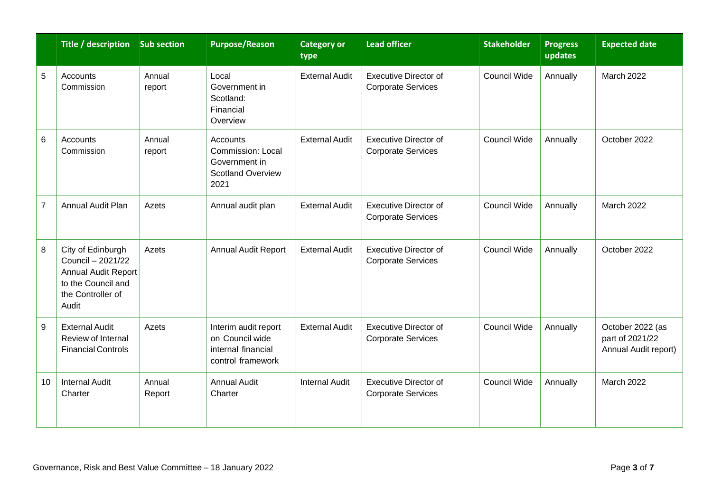|                | Title / description Sub section                                                                                   |                  | <b>Purpose/Reason</b>                                                              | <b>Category or</b><br>type | <b>Lead officer</b>                                       | <b>Stakeholder</b>  | <b>Progress</b><br>updates | <b>Expected date</b>                                        |
|----------------|-------------------------------------------------------------------------------------------------------------------|------------------|------------------------------------------------------------------------------------|----------------------------|-----------------------------------------------------------|---------------------|----------------------------|-------------------------------------------------------------|
| 5              | Accounts<br>Commission                                                                                            | Annual<br>report | Local<br>Government in<br>Scotland:<br>Financial<br>Overview                       | <b>External Audit</b>      | Executive Director of<br><b>Corporate Services</b>        | Council Wide        | Annually                   | March 2022                                                  |
| 6              | Accounts<br>Commission                                                                                            | Annual<br>report | Accounts<br>Commission: Local<br>Government in<br><b>Scotland Overview</b><br>2021 | <b>External Audit</b>      | <b>Executive Director of</b><br><b>Corporate Services</b> | <b>Council Wide</b> | Annually                   | October 2022                                                |
| $\overline{7}$ | <b>Annual Audit Plan</b>                                                                                          | Azets            | Annual audit plan                                                                  | <b>External Audit</b>      | <b>Executive Director of</b><br><b>Corporate Services</b> | <b>Council Wide</b> | Annually                   | March 2022                                                  |
| 8              | City of Edinburgh<br>Council - 2021/22<br>Annual Audit Report<br>to the Council and<br>the Controller of<br>Audit | Azets            | <b>Annual Audit Report</b>                                                         | <b>External Audit</b>      | <b>Executive Director of</b><br><b>Corporate Services</b> | Council Wide        | Annually                   | October 2022                                                |
| 9              | <b>External Audit</b><br>Review of Internal<br><b>Financial Controls</b>                                          | Azets            | Interim audit report<br>on Council wide<br>internal financial<br>control framework | <b>External Audit</b>      | <b>Executive Director of</b><br><b>Corporate Services</b> | <b>Council Wide</b> | Annually                   | October 2022 (as<br>part of 2021/22<br>Annual Audit report) |
| 10             | <b>Internal Audit</b><br>Charter                                                                                  | Annual<br>Report | <b>Annual Audit</b><br>Charter                                                     | <b>Internal Audit</b>      | <b>Executive Director of</b><br><b>Corporate Services</b> | <b>Council Wide</b> | Annually                   | March 2022                                                  |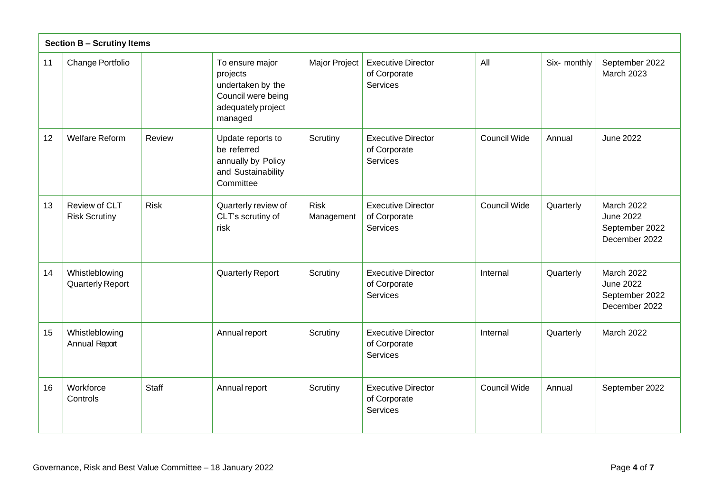|    | <b>Section B - Scrutiny Items</b>         |              |                                                                                                         |                           |                                                       |                     |              |                                                                   |
|----|-------------------------------------------|--------------|---------------------------------------------------------------------------------------------------------|---------------------------|-------------------------------------------------------|---------------------|--------------|-------------------------------------------------------------------|
| 11 | Change Portfolio                          |              | To ensure major<br>projects<br>undertaken by the<br>Council were being<br>adequately project<br>managed | Major Project             | <b>Executive Director</b><br>of Corporate<br>Services | All                 | Six- monthly | September 2022<br><b>March 2023</b>                               |
| 12 | <b>Welfare Reform</b>                     | Review       | Update reports to<br>be referred<br>annually by Policy<br>and Sustainability<br>Committee               | Scrutiny                  | <b>Executive Director</b><br>of Corporate<br>Services | <b>Council Wide</b> | Annual       | June 2022                                                         |
| 13 | Review of CLT<br><b>Risk Scrutiny</b>     | <b>Risk</b>  | Quarterly review of<br>CLT's scrutiny of<br>risk                                                        | <b>Risk</b><br>Management | <b>Executive Director</b><br>of Corporate<br>Services | Council Wide        | Quarterly    | March 2022<br>June 2022<br>September 2022<br>December 2022        |
| 14 | Whistleblowing<br><b>Quarterly Report</b> |              | <b>Quarterly Report</b>                                                                                 | Scrutiny                  | <b>Executive Director</b><br>of Corporate<br>Services | Internal            | Quarterly    | <b>March 2022</b><br>June 2022<br>September 2022<br>December 2022 |
| 15 | Whistleblowing<br>Annual Report           |              | Annual report                                                                                           | Scrutiny                  | <b>Executive Director</b><br>of Corporate<br>Services | Internal            | Quarterly    | March 2022                                                        |
| 16 | Workforce<br>Controls                     | <b>Staff</b> | Annual report                                                                                           | Scrutiny                  | <b>Executive Director</b><br>of Corporate<br>Services | <b>Council Wide</b> | Annual       | September 2022                                                    |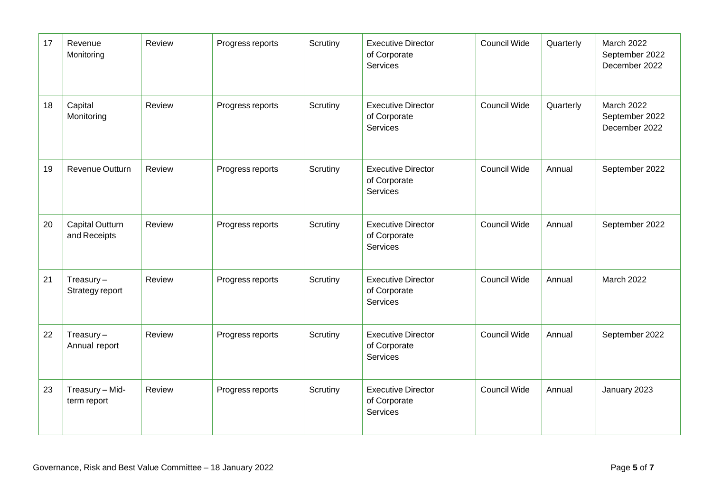| 17 | Revenue<br>Monitoring                  | Review | Progress reports | Scrutiny | <b>Executive Director</b><br>of Corporate<br><b>Services</b> | <b>Council Wide</b> | Quarterly | March 2022<br>September 2022<br>December 2022        |
|----|----------------------------------------|--------|------------------|----------|--------------------------------------------------------------|---------------------|-----------|------------------------------------------------------|
| 18 | Capital<br>Monitoring                  | Review | Progress reports | Scrutiny | <b>Executive Director</b><br>of Corporate<br><b>Services</b> | Council Wide        | Quarterly | <b>March 2022</b><br>September 2022<br>December 2022 |
| 19 | Revenue Outturn                        | Review | Progress reports | Scrutiny | <b>Executive Director</b><br>of Corporate<br><b>Services</b> | Council Wide        | Annual    | September 2022                                       |
| 20 | <b>Capital Outturn</b><br>and Receipts | Review | Progress reports | Scrutiny | <b>Executive Director</b><br>of Corporate<br><b>Services</b> | <b>Council Wide</b> | Annual    | September 2022                                       |
| 21 | $T$ reasury $-$<br>Strategy report     | Review | Progress reports | Scrutiny | <b>Executive Director</b><br>of Corporate<br><b>Services</b> | Council Wide        | Annual    | <b>March 2022</b>                                    |
| 22 | $T$ reasury $-$<br>Annual report       | Review | Progress reports | Scrutiny | <b>Executive Director</b><br>of Corporate<br>Services        | <b>Council Wide</b> | Annual    | September 2022                                       |
| 23 | Treasury - Mid-<br>term report         | Review | Progress reports | Scrutiny | <b>Executive Director</b><br>of Corporate<br><b>Services</b> | <b>Council Wide</b> | Annual    | January 2023                                         |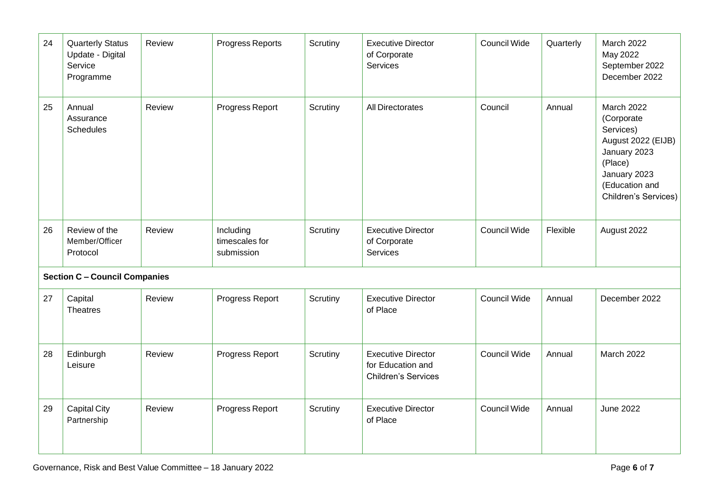| 24 | <b>Quarterly Status</b><br>Update - Digital<br>Service<br>Programme | Review | Progress Reports                          | Scrutiny | <b>Executive Director</b><br>of Corporate<br>Services                        | Council Wide | Quarterly | March 2022<br>May 2022<br>September 2022<br>December 2022                                                                                        |
|----|---------------------------------------------------------------------|--------|-------------------------------------------|----------|------------------------------------------------------------------------------|--------------|-----------|--------------------------------------------------------------------------------------------------------------------------------------------------|
| 25 | Annual<br>Assurance<br><b>Schedules</b>                             | Review | Progress Report                           | Scrutiny | All Directorates                                                             | Council      | Annual    | March 2022<br>(Corporate<br>Services)<br>August 2022 (EIJB)<br>January 2023<br>(Place)<br>January 2023<br>(Education and<br>Children's Services) |
| 26 | Review of the<br>Member/Officer<br>Protocol                         | Review | Including<br>timescales for<br>submission | Scrutiny | <b>Executive Director</b><br>of Corporate<br>Services                        | Council Wide | Flexible  | August 2022                                                                                                                                      |
|    | <b>Section C - Council Companies</b>                                |        |                                           |          |                                                                              |              |           |                                                                                                                                                  |
| 27 | Capital<br><b>Theatres</b>                                          | Review | Progress Report                           | Scrutiny | <b>Executive Director</b><br>of Place                                        | Council Wide | Annual    | December 2022                                                                                                                                    |
| 28 | Edinburgh<br>Leisure                                                | Review | Progress Report                           | Scrutiny | <b>Executive Director</b><br>for Education and<br><b>Children's Services</b> | Council Wide | Annual    | March 2022                                                                                                                                       |
| 29 | <b>Capital City</b><br>Partnership                                  | Review | Progress Report                           | Scrutiny | <b>Executive Director</b><br>of Place                                        | Council Wide | Annual    | <b>June 2022</b>                                                                                                                                 |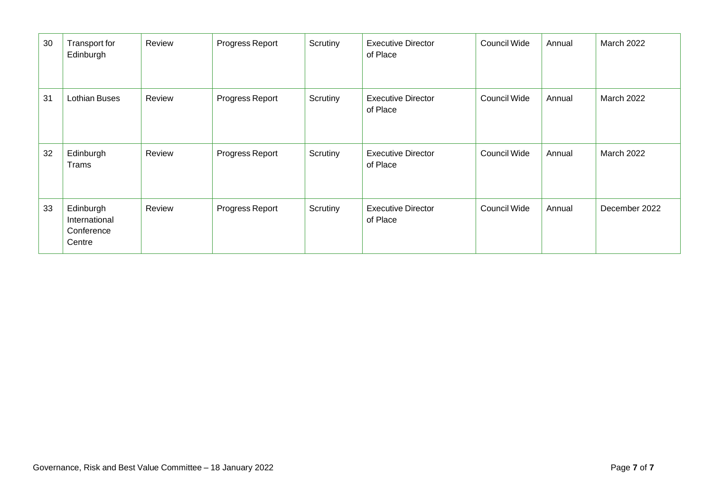| 30 | Transport for<br>Edinburgh                         | Review | Progress Report | Scrutiny | <b>Executive Director</b><br>of Place | Council Wide | Annual | <b>March 2022</b> |
|----|----------------------------------------------------|--------|-----------------|----------|---------------------------------------|--------------|--------|-------------------|
| 31 | <b>Lothian Buses</b>                               | Review | Progress Report | Scrutiny | <b>Executive Director</b><br>of Place | Council Wide | Annual | <b>March 2022</b> |
| 32 | Edinburgh<br>Trams                                 | Review | Progress Report | Scrutiny | <b>Executive Director</b><br>of Place | Council Wide | Annual | <b>March 2022</b> |
| 33 | Edinburgh<br>International<br>Conference<br>Centre | Review | Progress Report | Scrutiny | <b>Executive Director</b><br>of Place | Council Wide | Annual | December 2022     |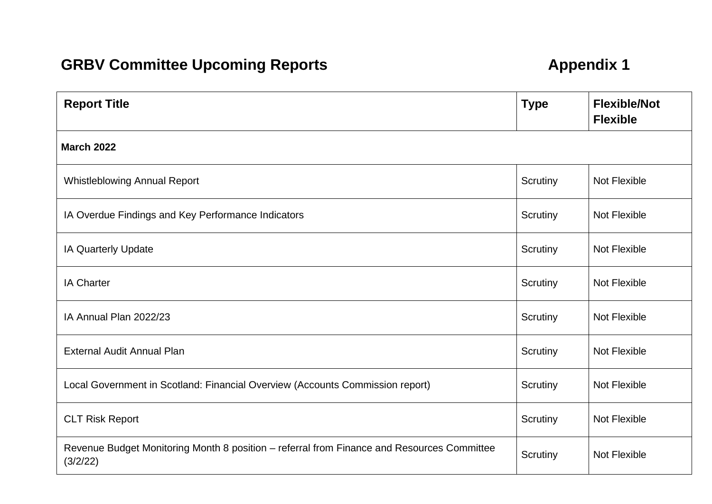## **GRBV Committee Upcoming Reports <b>Appendix 1**

| <b>Report Title</b>                                                                                    | <b>Type</b> | <b>Flexible/Not</b><br><b>Flexible</b> |  |  |  |  |  |  |  |
|--------------------------------------------------------------------------------------------------------|-------------|----------------------------------------|--|--|--|--|--|--|--|
| <b>March 2022</b>                                                                                      |             |                                        |  |  |  |  |  |  |  |
| <b>Whistleblowing Annual Report</b>                                                                    | Scrutiny    | Not Flexible                           |  |  |  |  |  |  |  |
| IA Overdue Findings and Key Performance Indicators                                                     | Scrutiny    | Not Flexible                           |  |  |  |  |  |  |  |
| IA Quarterly Update                                                                                    | Scrutiny    | <b>Not Flexible</b>                    |  |  |  |  |  |  |  |
| <b>IA Charter</b>                                                                                      | Scrutiny    | <b>Not Flexible</b>                    |  |  |  |  |  |  |  |
| IA Annual Plan 2022/23                                                                                 | Scrutiny    | Not Flexible                           |  |  |  |  |  |  |  |
| <b>External Audit Annual Plan</b>                                                                      | Scrutiny    | <b>Not Flexible</b>                    |  |  |  |  |  |  |  |
| Local Government in Scotland: Financial Overview (Accounts Commission report)                          | Scrutiny    | Not Flexible                           |  |  |  |  |  |  |  |
| <b>CLT Risk Report</b>                                                                                 | Scrutiny    | Not Flexible                           |  |  |  |  |  |  |  |
| Revenue Budget Monitoring Month 8 position - referral from Finance and Resources Committee<br>(3/2/22) | Scrutiny    | Not Flexible                           |  |  |  |  |  |  |  |